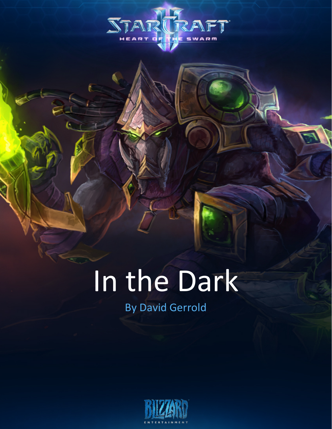

## In the Dark

By David Gerrold

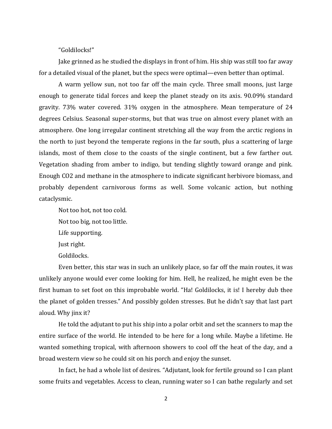## "Goldilocks!"

Jake grinned as he studied the displays in front of him. His ship was still too far away for a detailed visual of the planet, but the specs were optimal—even better than optimal.

A warm yellow sun, not too far off the main cycle. Three small moons, just large enough to generate tidal forces and keep the planet steady on its axis. 90.09% standard gravity. 73% water covered. 31% oxygen in the atmosphere. Mean temperature of 24 degrees Celsius. Seasonal super-storms, but that was true on almost every planet with an atmosphere. One long irregular continent stretching all the way from the arctic regions in the north to just beyond the temperate regions in the far south, plus a scattering of large islands, most of them close to the coasts of the single continent, but a few farther out. Vegetation shading from amber to indigo, but tending slightly toward orange and pink. Enough CO2 and methane in the atmosphere to indicate significant herbivore biomass, and probably dependent carnivorous forms as well. Some volcanic action, but nothing cataclysmic.

Not too hot, not too cold.

Not too big, not too little.

Life supporting.

Just right.

Goldilocks.

Even better, this star was in such an unlikely place, so far off the main routes, it was unlikely anyone would ever come looking for him. Hell, he realized, he might even be the first human to set foot on this improbable world. "Ha! Goldilocks, it is! I hereby dub thee the planet of golden tresses." And possibly golden stresses. But he didn't say that last part aloud. Why jinx it?

He told the adjutant to put his ship into a polar orbit and set the scanners to map the entire surface of the world. He intended to be here for a long while. Maybe a lifetime. He wanted something tropical, with afternoon showers to cool off the heat of the day, and a broad western view so he could sit on his porch and enjoy the sunset.

In fact, he had a whole list of desires. "Adjutant, look for fertile ground so I can plant some fruits and vegetables. Access to clean, running water so I can bathe regularly and set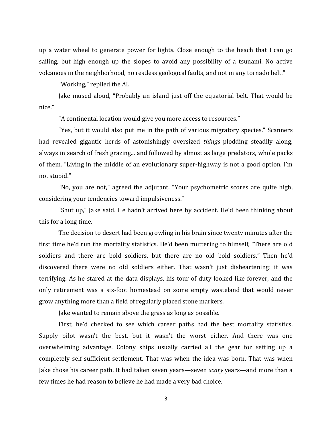up a water wheel to generate power for lights. Close enough to the beach that I can go sailing, but high enough up the slopes to avoid any possibility of a tsunami. No active volcanoes in the neighborhood, no restless geological faults, and not in any tornado belt."

"Working," replied the AI.

Jake mused aloud, "Probably an island just off the equatorial belt. That would be nice."

"A continental location would give you more access to resources."

"Yes, but it would also put me in the path of various migratory species." Scanners had revealed gigantic herds of astonishingly oversized *things* plodding steadily along, always in search of fresh grazing... and followed by almost as large predators, whole packs of them. "Living in the middle of an evolutionary super-highway is not a good option. I'm not stupid."

"No, you are not," agreed the adjutant. "Your psychometric scores are quite high, considering your tendencies toward impulsiveness."

"Shut up," Jake said. He hadn't arrived here by accident. He'd been thinking about this for a long time.

The decision to desert had been growling in his brain since twenty minutes after the first time he'd run the mortality statistics. He'd been muttering to himself, "There are old soldiers and there are bold soldiers, but there are no old bold soldiers." Then he'd discovered there were no old soldiers either. That wasn't just disheartening: it was terrifying. As he stared at the data displays, his tour of duty looked like forever, and the only retirement was a six-foot homestead on some empty wasteland that would never grow anything more than a field of regularly placed stone markers.

Jake wanted to remain above the grass as long as possible.

First, he'd checked to see which career paths had the best mortality statistics. Supply pilot wasn't the best, but it wasn't the worst either. And there was one overwhelming advantage. Colony ships usually carried all the gear for setting up a completely self-sufficient settlement. That was when the idea was born. That was when Jake chose his career path. It had taken seven years—seven *scary* years—and more than a few times he had reason to believe he had made a very bad choice.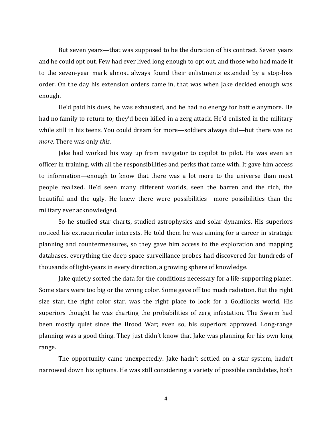But seven years—that was supposed to be the duration of his contract. Seven years and he could opt out. Few had ever lived long enough to opt out, and those who had made it to the seven-year mark almost always found their enlistments extended by a stop-loss order. On the day his extension orders came in, that was when Jake decided enough was enough.

He'd paid his dues, he was exhausted, and he had no energy for battle anymore. He had no family to return to; they'd been killed in a zerg attack. He'd enlisted in the military while still in his teens. You could dream for more—soldiers always did—but there was no *more*. There was only *this*.

Jake had worked his way up from navigator to copilot to pilot. He was even an officer in training, with all the responsibilities and perks that came with. It gave him access to information—enough to know that there was a lot more to the universe than most people realized. He'd seen many different worlds, seen the barren and the rich, the beautiful and the ugly. He knew there were possibilities—more possibilities than the military ever acknowledged.

So he studied star charts, studied astrophysics and solar dynamics. His superiors noticed his extracurricular interests. He told them he was aiming for a career in strategic planning and countermeasures, so they gave him access to the exploration and mapping databases, everything the deep-space surveillance probes had discovered for hundreds of thousands of light-years in every direction, a growing sphere of knowledge.

Jake quietly sorted the data for the conditions necessary for a life-supporting planet. Some stars were too big or the wrong color. Some gave off too much radiation. But the right size star, the right color star, was the right place to look for a Goldilocks world. His superiors thought he was charting the probabilities of zerg infestation. The Swarm had been mostly quiet since the Brood War; even so, his superiors approved. Long-range planning was a good thing. They just didn't know that Jake was planning for his own long range.

The opportunity came unexpectedly. Jake hadn't settled on a star system, hadn't narrowed down his options. He was still considering a variety of possible candidates, both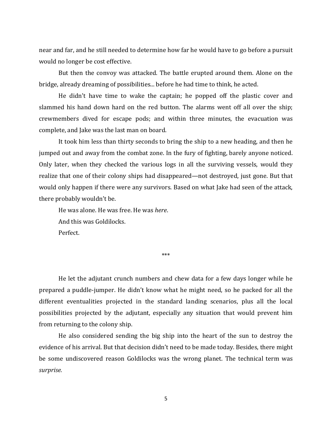near and far, and he still needed to determine how far he would have to go before a pursuit would no longer be cost effective.

But then the convoy was attacked. The battle erupted around them. Alone on the bridge, already dreaming of possibilities... before he had time to think, he acted.

He didn't have time to wake the captain; he popped off the plastic cover and slammed his hand down hard on the red button. The alarms went off all over the ship; crewmembers dived for escape pods; and within three minutes, the evacuation was complete, and Jake was the last man on board.

It took him less than thirty seconds to bring the ship to a new heading, and then he jumped out and away from the combat zone. In the fury of fighting, barely anyone noticed. Only later, when they checked the various logs in all the surviving vessels, would they realize that one of their colony ships had disappeared—not destroyed, just gone. But that would only happen if there were any survivors. Based on what Jake had seen of the attack, there probably wouldn't be.

He was alone. He was free. He was *here*.

And this was Goldilocks.

Perfect.

\*\*\*

He let the adjutant crunch numbers and chew data for a few days longer while he prepared a puddle-jumper. He didn't know what he might need, so he packed for all the different eventualities projected in the standard landing scenarios, plus all the local possibilities projected by the adjutant, especially any situation that would prevent him from returning to the colony ship.

He also considered sending the big ship into the heart of the sun to destroy the evidence of his arrival. But that decision didn't need to be made today. Besides, there might be some undiscovered reason Goldilocks was the wrong planet. The technical term was *surprise.*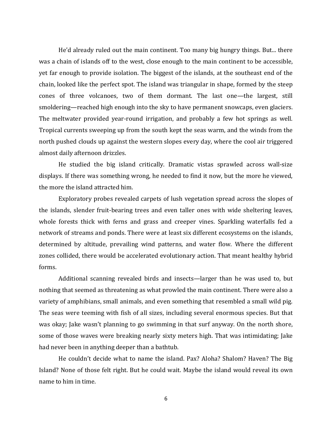He'd already ruled out the main continent. Too many big hungry things. But... there was a chain of islands off to the west, close enough to the main continent to be accessible, yet far enough to provide isolation. The biggest of the islands, at the southeast end of the chain, looked like the perfect spot. The island was triangular in shape, formed by the steep cones of three volcanoes, two of them dormant. The last one—the largest, still smoldering—reached high enough into the sky to have permanent snowcaps, even glaciers. The meltwater provided year-round irrigation, and probably a few hot springs as well. Tropical currents sweeping up from the south kept the seas warm, and the winds from the north pushed clouds up against the western slopes every day, where the cool air triggered almost daily afternoon drizzles.

He studied the big island critically. Dramatic vistas sprawled across wall-size displays. If there was something wrong, he needed to find it now, but the more he viewed, the more the island attracted him.

Exploratory probes revealed carpets of lush vegetation spread across the slopes of the islands, slender fruit-bearing trees and even taller ones with wide sheltering leaves, whole forests thick with ferns and grass and creeper vines. Sparkling waterfalls fed a network of streams and ponds. There were at least six different ecosystems on the islands, determined by altitude, prevailing wind patterns, and water flow. Where the different zones collided, there would be accelerated evolutionary action. That meant healthy hybrid forms.

Additional scanning revealed birds and insects—larger than he was used to, but nothing that seemed as threatening as what prowled the main continent. There were also a variety of amphibians, small animals, and even something that resembled a small wild pig. The seas were teeming with fish of all sizes, including several enormous species. But that was okay; Jake wasn't planning to go swimming in that surf anyway. On the north shore, some of those waves were breaking nearly sixty meters high. That was intimidating; Jake had never been in anything deeper than a bathtub.

He couldn't decide what to name the island. Pax? Aloha? Shalom? Haven? The Big Island? None of those felt right. But he could wait. Maybe the island would reveal its own name to him in time.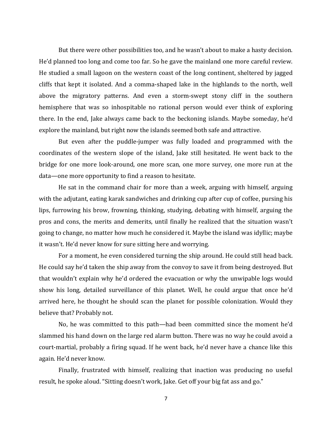But there were other possibilities too, and he wasn't about to make a hasty decision. He'd planned too long and come too far. So he gave the mainland one more careful review. He studied a small lagoon on the western coast of the long continent, sheltered by jagged cliffs that kept it isolated. And a comma-shaped lake in the highlands to the north, well above the migratory patterns. And even a storm-swept stony cliff in the southern hemisphere that was so inhospitable no rational person would ever think of exploring there. In the end, Jake always came back to the beckoning islands. Maybe someday, he'd explore the mainland, but right now the islands seemed both safe and attractive.

But even after the puddle-jumper was fully loaded and programmed with the coordinates of the western slope of the island, Jake still hesitated. He went back to the bridge for one more look-around, one more scan, one more survey, one more run at the data—one more opportunity to find a reason to hesitate.

He sat in the command chair for more than a week, arguing with himself, arguing with the adjutant, eating karak sandwiches and drinking cup after cup of coffee, pursing his lips, furrowing his brow, frowning, thinking, studying, debating with himself, arguing the pros and cons, the merits and demerits, until finally he realized that the situation wasn't going to change, no matter how much he considered it. Maybe the island was idyllic; maybe it wasn't. He'd never know for sure sitting here and worrying.

For a moment, he even considered turning the ship around. He could still head back. He could say he'd taken the ship away from the convoy to save it from being destroyed. But that wouldn't explain why he'd ordered the evacuation or why the unwipable logs would show his long, detailed surveillance of this planet. Well, he could argue that once he'd arrived here, he thought he should scan the planet for possible colonization. Would they believe that? Probably not.

No, he was committed to this path—had been committed since the moment he'd slammed his hand down on the large red alarm button. There was no way he could avoid a court-martial, probably a firing squad. If he went back, he'd never have a chance like this again. He'd never know.

Finally, frustrated with himself, realizing that inaction was producing no useful result, he spoke aloud. "Sitting doesn't work, Jake. Get off your big fat ass and go."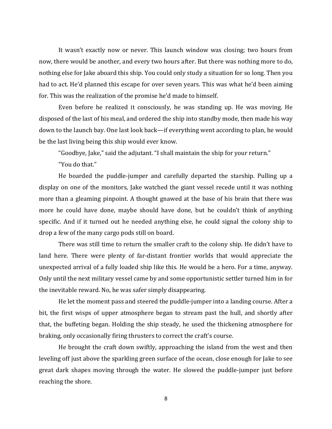It wasn't exactly now or never. This launch window was closing; two hours from now, there would be another, and every two hours after. But there was nothing more to do, nothing else for Jake aboard this ship. You could only study a situation for so long. Then you had to act. He'd planned this escape for over seven years. This was what he'd been aiming for. This was the realization of the promise he'd made to himself.

Even before he realized it consciously, he was standing up. He was moving. He disposed of the last of his meal, and ordered the ship into standby mode, then made his way down to the launch bay. One last look back—if everything went according to plan, he would be the last living being this ship would ever know.

"Goodbye, Jake," said the adjutant. "I shall maintain the ship for your return."

"You do that."

He boarded the puddle-jumper and carefully departed the starship. Pulling up a display on one of the monitors, Jake watched the giant vessel recede until it was nothing more than a gleaming pinpoint. A thought gnawed at the base of his brain that there was more he could have done, maybe should have done, but he couldn't think of anything specific. And if it turned out he needed anything else, he could signal the colony ship to drop a few of the many cargo pods still on board.

There was still time to return the smaller craft to the colony ship. He didn't have to land here. There were plenty of far-distant frontier worlds that would appreciate the unexpected arrival of a fully loaded ship like this. He would be a hero. For a time, anyway. Only until the next military vessel came by and some opportunistic settler turned him in for the inevitable reward. No, he was safer simply disappearing.

He let the moment pass and steered the puddle-jumper into a landing course. After a bit, the first wisps of upper atmosphere began to stream past the hull, and shortly after that, the buffeting began. Holding the ship steady, he used the thickening atmosphere for braking, only occasionally firing thrusters to correct the craft's course.

He brought the craft down swiftly, approaching the island from the west and then leveling off just above the sparkling green surface of the ocean, close enough for Jake to see great dark shapes moving through the water. He slowed the puddle-jumper just before reaching the shore.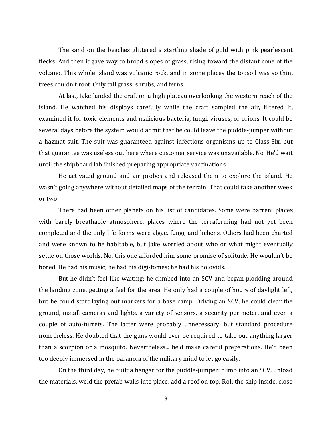The sand on the beaches glittered a startling shade of gold with pink pearlescent flecks. And then it gave way to broad slopes of grass, rising toward the distant cone of the volcano. This whole island was volcanic rock, and in some places the topsoil was so thin, trees couldn't root. Only tall grass, shrubs, and ferns.

At last, Jake landed the craft on a high plateau overlooking the western reach of the island. He watched his displays carefully while the craft sampled the air, filtered it, examined it for toxic elements and malicious bacteria, fungi, viruses, or prions. It could be several days before the system would admit that he could leave the puddle-jumper without a hazmat suit. The suit was guaranteed against infectious organisms up to Class Six, but that guarantee was useless out here where customer service was unavailable. No. He'd wait until the shipboard lab finished preparing appropriate vaccinations.

He activated ground and air probes and released them to explore the island. He wasn't going anywhere without detailed maps of the terrain. That could take another week or two.

There had been other planets on his list of candidates. Some were barren: places with barely breathable atmosphere, places where the terraforming had not yet been completed and the only life-forms were algae, fungi, and lichens. Others had been charted and were known to be habitable, but Jake worried about who or what might eventually settle on those worlds. No, this one afforded him some promise of solitude. He wouldn't be bored. He had his music; he had his digi-tomes; he had his holovids.

But he didn't feel like waiting: he climbed into an SCV and began plodding around the landing zone, getting a feel for the area. He only had a couple of hours of daylight left, but he could start laying out markers for a base camp. Driving an SCV, he could clear the ground, install cameras and lights, a variety of sensors, a security perimeter, and even a couple of auto-turrets. The latter were probably unnecessary, but standard procedure nonetheless. He doubted that the guns would ever be required to take out anything larger than a scorpion or a mosquito. Nevertheless... he'd make careful preparations. He'd been too deeply immersed in the paranoia of the military mind to let go easily.

On the third day, he built a hangar for the puddle-jumper: climb into an SCV, unload the materials, weld the prefab walls into place, add a roof on top. Roll the ship inside, close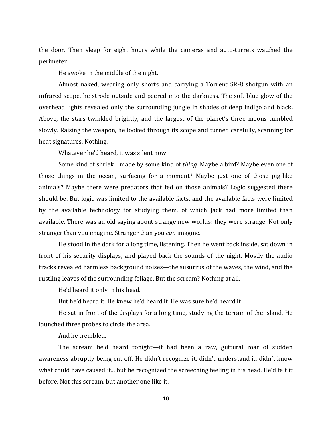the door. Then sleep for eight hours while the cameras and auto-turrets watched the perimeter.

He awoke in the middle of the night.

Almost naked, wearing only shorts and carrying a Torrent SR-8 shotgun with an infrared scope, he strode outside and peered into the darkness. The soft blue glow of the overhead lights revealed only the surrounding jungle in shades of deep indigo and black. Above, the stars twinkled brightly, and the largest of the planet's three moons tumbled slowly. Raising the weapon, he looked through its scope and turned carefully, scanning for heat signatures. Nothing.

Whatever he'd heard, it was silent now.

Some kind of shriek... made by some kind of *thing.* Maybe a bird? Maybe even one of those things in the ocean, surfacing for a moment? Maybe just one of those pig-like animals? Maybe there were predators that fed on those animals? Logic suggested there should be. But logic was limited to the available facts, and the available facts were limited by the available technology for studying them, of which Jack had more limited than available. There was an old saying about strange new worlds: they were strange. Not only stranger than you imagine. Stranger than you *can* imagine.

He stood in the dark for a long time, listening. Then he went back inside, sat down in front of his security displays, and played back the sounds of the night. Mostly the audio tracks revealed harmless background noises—the susurrus of the waves, the wind, and the rustling leaves of the surrounding foliage. But the scream? Nothing at all.

He'd heard it only in his head.

But he'd heard it. He knew he'd heard it. He was sure he'd heard it.

He sat in front of the displays for a long time, studying the terrain of the island. He launched three probes to circle the area.

And he trembled.

The scream he'd heard tonight—it had been a raw, guttural roar of sudden awareness abruptly being cut off. He didn't recognize it, didn't understand it, didn't know what could have caused it... but he recognized the screeching feeling in his head. He'd felt it before. Not this scream, but another one like it.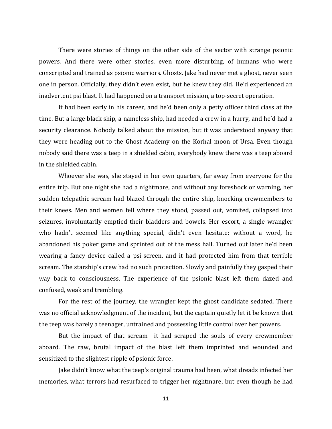There were stories of things on the other side of the sector with strange psionic powers. And there were other stories, even more disturbing, of humans who were conscripted and trained as psionic warriors. Ghosts. Jake had never met a ghost, never seen one in person. Officially, they didn't even exist, but he knew they did. He'd experienced an inadvertent psi blast. It had happened on a transport mission, a top-secret operation.

It had been early in his career, and he'd been only a petty officer third class at the time. But a large black ship, a nameless ship, had needed a crew in a hurry, and he'd had a security clearance. Nobody talked about the mission, but it was understood anyway that they were heading out to the Ghost Academy on the Korhal moon of Ursa. Even though nobody said there was a teep in a shielded cabin, everybody knew there was a teep aboard in the shielded cabin.

Whoever she was, she stayed in her own quarters, far away from everyone for the entire trip. But one night she had a nightmare, and without any foreshock or warning, her sudden telepathic scream had blazed through the entire ship, knocking crewmembers to their knees. Men and women fell where they stood, passed out, vomited, collapsed into seizures, involuntarily emptied their bladders and bowels. Her escort, a single wrangler who hadn't seemed like anything special, didn't even hesitate: without a word, he abandoned his poker game and sprinted out of the mess hall. Turned out later he'd been wearing a fancy device called a psi-screen, and it had protected him from that terrible scream. The starship's crew had no such protection. Slowly and painfully they gasped their way back to consciousness. The experience of the psionic blast left them dazed and confused, weak and trembling.

For the rest of the journey, the wrangler kept the ghost candidate sedated. There was no official acknowledgment of the incident, but the captain quietly let it be known that the teep was barely a teenager, untrained and possessing little control over her powers.

But the impact of that scream—it had scraped the souls of every crewmember aboard. The raw, brutal impact of the blast left them imprinted and wounded and sensitized to the slightest ripple of psionic force.

Jake didn't know what the teep's original trauma had been, what dreads infected her memories, what terrors had resurfaced to trigger her nightmare, but even though he had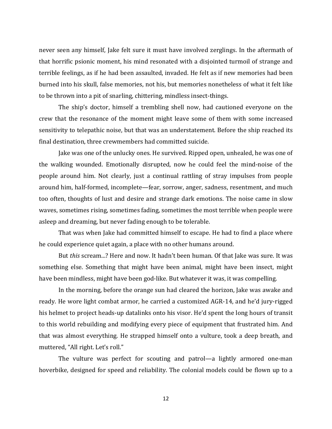never seen any himself, Jake felt sure it must have involved zerglings. In the aftermath of that horrific psionic moment, his mind resonated with a disjointed turmoil of strange and terrible feelings, as if he had been assaulted, invaded. He felt as if new memories had been burned into his skull, false memories, not his, but memories nonetheless of what it felt like to be thrown into a pit of snarling, chittering, mindless insect-things.

The ship's doctor, himself a trembling shell now, had cautioned everyone on the crew that the resonance of the moment might leave some of them with some increased sensitivity to telepathic noise, but that was an understatement. Before the ship reached its final destination, three crewmembers had committed suicide.

Jake was one of the unlucky ones. He survived. Ripped open, unhealed, he was one of the walking wounded. Emotionally disrupted, now he could feel the mind-noise of the people around him. Not clearly, just a continual rattling of stray impulses from people around him, half-formed, incomplete—fear, sorrow, anger, sadness, resentment, and much too often, thoughts of lust and desire and strange dark emotions. The noise came in slow waves, sometimes rising, sometimes fading, sometimes the most terrible when people were asleep and dreaming, but never fading enough to be tolerable.

That was when Jake had committed himself to escape. He had to find a place where he could experience quiet again, a place with no other humans around.

But *this* scream...? Here and now. It hadn't been human. Of that Jake was sure. It was something else. Something that might have been animal, might have been insect, might have been mindless, might have been god-like. But whatever it was, it was compelling.

In the morning, before the orange sun had cleared the horizon, Jake was awake and ready. He wore light combat armor, he carried a customized AGR-14, and he'd jury-rigged his helmet to project heads-up datalinks onto his visor. He'd spent the long hours of transit to this world rebuilding and modifying every piece of equipment that frustrated him. And that was almost everything. He strapped himself onto a vulture, took a deep breath, and muttered, "All right. Let's roll."

The vulture was perfect for scouting and patrol—a lightly armored one-man hoverbike, designed for speed and reliability. The colonial models could be flown up to a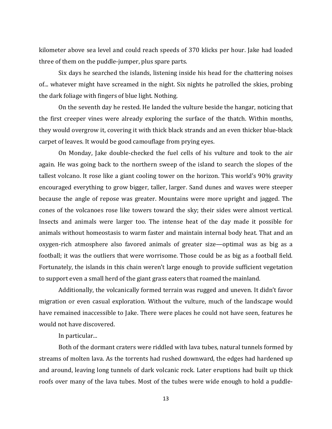kilometer above sea level and could reach speeds of 370 klicks per hour. Jake had loaded three of them on the puddle-jumper, plus spare parts.

Six days he searched the islands, listening inside his head for the chattering noises of... whatever might have screamed in the night. Six nights he patrolled the skies, probing the dark foliage with fingers of blue light. Nothing.

On the seventh day he rested. He landed the vulture beside the hangar, noticing that the first creeper vines were already exploring the surface of the thatch. Within months, they would overgrow it, covering it with thick black strands and an even thicker blue-black carpet of leaves. It would be good camouflage from prying eyes.

On Monday, Jake double-checked the fuel cells of his vulture and took to the air again. He was going back to the northern sweep of the island to search the slopes of the tallest volcano. It rose like a giant cooling tower on the horizon. This world's 90% gravity encouraged everything to grow bigger, taller, larger. Sand dunes and waves were steeper because the angle of repose was greater. Mountains were more upright and jagged. The cones of the volcanoes rose like towers toward the sky; their sides were almost vertical. Insects and animals were larger too. The intense heat of the day made it possible for animals without homeostasis to warm faster and maintain internal body heat. That and an oxygen-rich atmosphere also favored animals of greater size—optimal was as big as a football; it was the outliers that were worrisome. Those could be as big as a football field. Fortunately, the islands in this chain weren't large enough to provide sufficient vegetation to support even a small herd of the giant grass eaters that roamed the mainland.

Additionally, the volcanically formed terrain was rugged and uneven. It didn't favor migration or even casual exploration. Without the vulture, much of the landscape would have remained inaccessible to Jake. There were places he could not have seen, features he would not have discovered.

In particular...

Both of the dormant craters were riddled with lava tubes, natural tunnels formed by streams of molten lava. As the torrents had rushed downward, the edges had hardened up and around, leaving long tunnels of dark volcanic rock. Later eruptions had built up thick roofs over many of the lava tubes. Most of the tubes were wide enough to hold a puddle-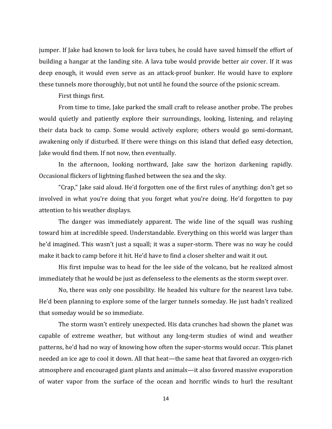jumper. If Jake had known to look for lava tubes, he could have saved himself the effort of building a hangar at the landing site. A lava tube would provide better air cover. If it was deep enough, it would even serve as an attack-proof bunker. He would have to explore these tunnels more thoroughly, but not until he found the source of the psionic scream.

First things first.

From time to time, Jake parked the small craft to release another probe. The probes would quietly and patiently explore their surroundings, looking, listening, and relaying their data back to camp. Some would actively explore; others would go semi-dormant, awakening only if disturbed. If there were things on this island that defied easy detection, Jake would find them. If not now, then eventually.

In the afternoon, looking northward, Jake saw the horizon darkening rapidly. Occasional flickers of lightning flashed between the sea and the sky.

"Crap," Jake said aloud. He'd forgotten one of the first rules of anything: don't get so involved in what you're doing that you forget what you're doing. He'd forgotten to pay attention to his weather displays.

The danger was immediately apparent. The wide line of the squall was rushing toward him at incredible speed. Understandable. Everything on this world was larger than he'd imagined. This wasn't just a squall; it was a super-storm. There was no way he could make it back to camp before it hit. He'd have to find a closer shelter and wait it out.

His first impulse was to head for the lee side of the volcano, but he realized almost immediately that he would be just as defenseless to the elements as the storm swept over.

No, there was only one possibility. He headed his vulture for the nearest lava tube. He'd been planning to explore some of the larger tunnels someday. He just hadn't realized that someday would be so immediate.

The storm wasn't entirely unexpected. His data crunches had shown the planet was capable of extreme weather, but without any long-term studies of wind and weather patterns, he'd had no way of knowing how often the super-storms would occur. This planet needed an ice age to cool it down. All that heat—the same heat that favored an oxygen-rich atmosphere and encouraged giant plants and animals—it also favored massive evaporation of water vapor from the surface of the ocean and horrific winds to hurl the resultant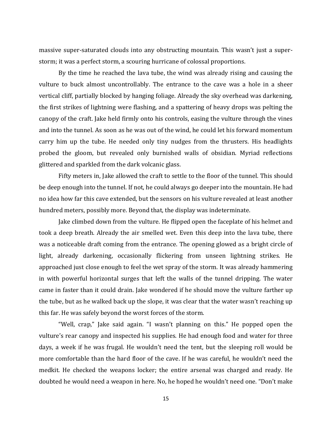massive super-saturated clouds into any obstructing mountain. This wasn't just a superstorm; it was a perfect storm, a scouring hurricane of colossal proportions.

By the time he reached the lava tube, the wind was already rising and causing the vulture to buck almost uncontrollably. The entrance to the cave was a hole in a sheer vertical cliff, partially blocked by hanging foliage. Already the sky overhead was darkening, the first strikes of lightning were flashing, and a spattering of heavy drops was pelting the canopy of the craft. Jake held firmly onto his controls, easing the vulture through the vines and into the tunnel. As soon as he was out of the wind, he could let his forward momentum carry him up the tube. He needed only tiny nudges from the thrusters. His headlights probed the gloom, but revealed only burnished walls of obsidian. Myriad reflections glittered and sparkled from the dark volcanic glass.

Fifty meters in, Jake allowed the craft to settle to the floor of the tunnel. This should be deep enough into the tunnel. If not, he could always go deeper into the mountain. He had no idea how far this cave extended, but the sensors on his vulture revealed at least another hundred meters, possibly more. Beyond that, the display was indeterminate.

Jake climbed down from the vulture. He flipped open the faceplate of his helmet and took a deep breath. Already the air smelled wet. Even this deep into the lava tube, there was a noticeable draft coming from the entrance. The opening glowed as a bright circle of light, already darkening, occasionally flickering from unseen lightning strikes. He approached just close enough to feel the wet spray of the storm. It was already hammering in with powerful horizontal surges that left the walls of the tunnel dripping. The water came in faster than it could drain. Jake wondered if he should move the vulture farther up the tube, but as he walked back up the slope, it was clear that the water wasn't reaching up this far. He was safely beyond the worst forces of the storm.

"Well, crap," Jake said again. "I wasn't planning on this." He popped open the vulture's rear canopy and inspected his supplies. He had enough food and water for three days, a week if he was frugal. He wouldn't need the tent, but the sleeping roll would be more comfortable than the hard floor of the cave. If he was careful, he wouldn't need the medkit. He checked the weapons locker; the entire arsenal was charged and ready. He doubted he would need a weapon in here. No, he hoped he wouldn't need one. "Don't make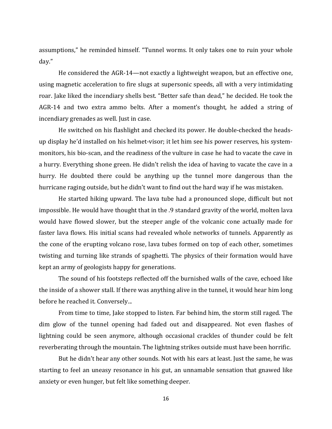assumptions," he reminded himself. "Tunnel worms. It only takes one to ruin your whole day."

He considered the AGR-14—not exactly a lightweight weapon, but an effective one, using magnetic acceleration to fire slugs at supersonic speeds, all with a very intimidating roar. Jake liked the incendiary shells best. "Better safe than dead," he decided. He took the AGR-14 and two extra ammo belts. After a moment's thought, he added a string of incendiary grenades as well. Just in case.

He switched on his flashlight and checked its power. He double-checked the headsup display he'd installed on his helmet-visor; it let him see his power reserves, his systemmonitors, his bio-scan, and the readiness of the vulture in case he had to vacate the cave in a hurry. Everything shone green. He didn't relish the idea of having to vacate the cave in a hurry. He doubted there could be anything up the tunnel more dangerous than the hurricane raging outside, but he didn't want to find out the hard way if he was mistaken.

He started hiking upward. The lava tube had a pronounced slope, difficult but not impossible. He would have thought that in the .9 standard gravity of the world, molten lava would have flowed slower, but the steeper angle of the volcanic cone actually made for faster lava flows. His initial scans had revealed whole networks of tunnels. Apparently as the cone of the erupting volcano rose, lava tubes formed on top of each other, sometimes twisting and turning like strands of spaghetti. The physics of their formation would have kept an army of geologists happy for generations.

The sound of his footsteps reflected off the burnished walls of the cave, echoed like the inside of a shower stall. If there was anything alive in the tunnel, it would hear him long before he reached it. Conversely...

From time to time, Jake stopped to listen. Far behind him, the storm still raged. The dim glow of the tunnel opening had faded out and disappeared. Not even flashes of lightning could be seen anymore, although occasional crackles of thunder could be felt reverberating through the mountain. The lightning strikes outside must have been horrific.

But he didn't hear any other sounds. Not with his ears at least. Just the same, he was starting to feel an uneasy resonance in his gut, an unnamable sensation that gnawed like anxiety or even hunger, but felt like something deeper.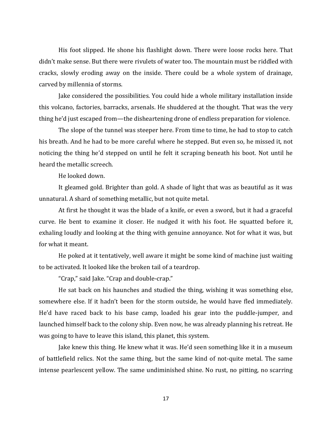His foot slipped. He shone his flashlight down. There were loose rocks here. That didn't make sense. But there were rivulets of water too. The mountain must be riddled with cracks, slowly eroding away on the inside. There could be a whole system of drainage, carved by millennia of storms.

Jake considered the possibilities. You could hide a whole military installation inside this volcano, factories, barracks, arsenals. He shuddered at the thought. That was the very thing he'd just escaped from—the disheartening drone of endless preparation for violence.

The slope of the tunnel was steeper here. From time to time, he had to stop to catch his breath. And he had to be more careful where he stepped. But even so, he missed it, not noticing the thing he'd stepped on until he felt it scraping beneath his boot. Not until he heard the metallic screech.

He looked down.

It gleamed gold. Brighter than gold. A shade of light that was as beautiful as it was unnatural. A shard of something metallic, but not quite metal.

At first he thought it was the blade of a knife, or even a sword, but it had a graceful curve. He bent to examine it closer. He nudged it with his foot. He squatted before it, exhaling loudly and looking at the thing with genuine annoyance. Not for what it was, but for what it meant.

He poked at it tentatively, well aware it might be some kind of machine just waiting to be activated. It looked like the broken tail of a teardrop.

"Crap," said Jake. "Crap and double-crap."

He sat back on his haunches and studied the thing, wishing it was something else, somewhere else. If it hadn't been for the storm outside, he would have fled immediately. He'd have raced back to his base camp, loaded his gear into the puddle-jumper, and launched himself back to the colony ship. Even now, he was already planning his retreat. He was going to have to leave this island, this planet, this system.

Jake knew this thing. He knew what it was. He'd seen something like it in a museum of battlefield relics. Not the same thing, but the same kind of not-quite metal. The same intense pearlescent yellow. The same undiminished shine. No rust, no pitting, no scarring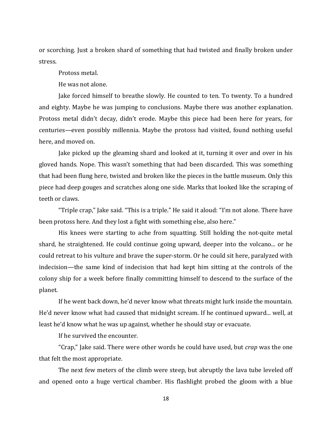or scorching. Just a broken shard of something that had twisted and finally broken under stress.

Protoss metal.

He was not alone.

Jake forced himself to breathe slowly. He counted to ten. To twenty. To a hundred and eighty. Maybe he was jumping to conclusions. Maybe there was another explanation. Protoss metal didn't decay, didn't erode. Maybe this piece had been here for years, for centuries—even possibly millennia. Maybe the protoss had visited, found nothing useful here, and moved on.

Jake picked up the gleaming shard and looked at it, turning it over and over in his gloved hands. Nope. This wasn't something that had been discarded. This was something that had been flung here, twisted and broken like the pieces in the battle museum. Only this piece had deep gouges and scratches along one side. Marks that looked like the scraping of teeth or claws.

"Triple crap," Jake said. "This is a triple." He said it aloud: "I'm not alone. There have been protoss here. And they lost a fight with something else, also here."

His knees were starting to ache from squatting. Still holding the not-quite metal shard, he straightened. He could continue going upward, deeper into the volcano... or he could retreat to his vulture and brave the super-storm. Or he could sit here, paralyzed with indecision—the same kind of indecision that had kept him sitting at the controls of the colony ship for a week before finally committing himself to descend to the surface of the planet.

If he went back down, he'd never know what threats might lurk inside the mountain. He'd never know what had caused that midnight scream. If he continued upward... well, at least he'd know what he was up against, whether he should stay or evacuate.

If he survived the encounter.

"Crap," Jake said. There were other words he could have used, but *crap* was the one that felt the most appropriate.

The next few meters of the climb were steep, but abruptly the lava tube leveled off and opened onto a huge vertical chamber. His flashlight probed the gloom with a blue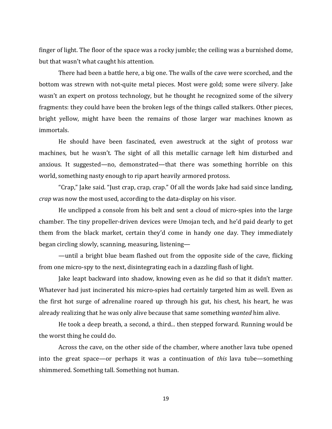finger of light. The floor of the space was a rocky jumble; the ceiling was a burnished dome, but that wasn't what caught his attention.

There had been a battle here, a big one. The walls of the cave were scorched, and the bottom was strewn with not-quite metal pieces. Most were gold; some were silvery. Jake wasn't an expert on protoss technology, but he thought he recognized some of the silvery fragments: they could have been the broken legs of the things called stalkers. Other pieces, bright yellow, might have been the remains of those larger war machines known as immortals.

He should have been fascinated, even awestruck at the sight of protoss war machines, but he wasn't. The sight of all this metallic carnage left him disturbed and anxious. It suggested—no, demonstrated—that there was something horrible on this world, something nasty enough to rip apart heavily armored protoss.

"Crap," Jake said. "Just crap, crap, crap." Of all the words Jake had said since landing, *crap* was now the most used, according to the data-display on his visor.

He unclipped a console from his belt and sent a cloud of micro-spies into the large chamber. The tiny propeller-driven devices were Umojan tech, and he'd paid dearly to get them from the black market, certain they'd come in handy one day. They immediately began circling slowly, scanning, measuring, listening—

—until a bright blue beam flashed out from the opposite side of the cave, flicking from one micro-spy to the next, disintegrating each in a dazzling flash of light.

Jake leapt backward into shadow, knowing even as he did so that it didn't matter. Whatever had just incinerated his micro-spies had certainly targeted him as well. Even as the first hot surge of adrenaline roared up through his gut, his chest, his heart, he was already realizing that he was only alive because that same something *wanted* him alive.

He took a deep breath, a second, a third... then stepped forward. Running would be the worst thing he could do.

Across the cave, on the other side of the chamber, where another lava tube opened into the great space—or perhaps it was a continuation of *this* lava tube—something shimmered. Something tall. Something not human.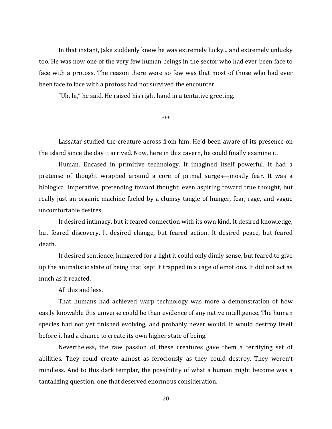In that instant, Jake suddenly knew he was extremely lucky... and extremely unlucky too. He was now one of the very few human beings in the sector who had ever been face to face with a protoss. The reason there were so few was that most of those who had ever been face to face with a protoss had not survived the encounter.

"Uh, hi," he said. He raised his right hand in a tentative greeting.

\*\*\*

Lassatar studied the creature across from him. He'd been aware of its presence on the island since the day it arrived. Now, here in this cavern, he could finally examine it.

Human. Encased in primitive technology. It imagined itself powerful. It had a pretense of thought wrapped around a core of primal surges—mostly fear. It was a biological imperative, pretending toward thought, even aspiring toward true thought, but really just an organic machine fueled by a clumsy tangle of hunger, fear, rage, and vague uncomfortable desires.

It desired intimacy, but it feared connection with its own kind. It desired knowledge, but feared discovery. It desired change, but feared action. It desired peace, but feared death.

It desired sentience, hungered for a light it could only dimly sense, but feared to give up the animalistic state of being that kept it trapped in a cage of emotions. It did not act as much as it reacted.

All this and less.

That humans had achieved warp technology was more a demonstration of how easily knowable this universe could be than evidence of any native intelligence. The human species had not yet finished evolving, and probably never would. It would destroy itself before it had a chance to create its own higher state of being.

Nevertheless, the raw passion of these creatures gave them a terrifying set of abilities. They could create almost as ferociously as they could destroy. They weren't mindless. And to this dark templar, the possibility of what a human might become was a tantalizing question, one that deserved enormous consideration.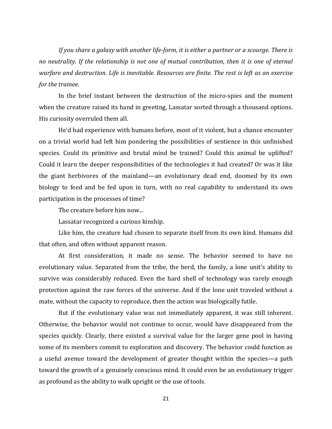*If you share a galaxy with another life-form, it is either a partner or a scourge. There is no neutrality. If the relationship is not one of mutual contribution, then it is one of eternal warfare and destruction. Life is inevitable. Resources are finite. The rest is left as an exercise for the trainee.*

In the brief instant between the destruction of the micro-spies and the moment when the creature raised its hand in greeting, Lassatar sorted through a thousand options. His curiosity overruled them all.

He'd had experience with humans before, most of it violent, but a chance encounter on a trivial world had left him pondering the possibilities of sentience in this unfinished species. Could its primitive and brutal mind be trained? Could this animal be uplifted? Could it learn the deeper responsibilities of the technologies it had created? Or was it like the giant herbivores of the mainland—an evolutionary dead end, doomed by its own biology to feed and be fed upon in turn, with no real capability to understand its own participation in the processes of time?

The creature before him now...

Lassatar recognized a curious kinship.

Like him, the creature had chosen to separate itself from its own kind. Humans did that often, and often without apparent reason.

At first consideration, it made no sense. The behavior seemed to have no evolutionary value. Separated from the tribe, the herd, the family, a lone unit's ability to survive was considerably reduced. Even the hard shell of technology was rarely enough protection against the raw forces of the universe. And if the lone unit traveled without a mate, without the capacity to reproduce, then the action was biologically futile.

But if the evolutionary value was not immediately apparent, it was still inherent. Otherwise, the behavior would not continue to occur, would have disappeared from the species quickly. Clearly, there existed a survival value for the larger gene pool in having some of its members commit to exploration and discovery. The behavior could function as a useful avenue toward the development of greater thought within the species—a path toward the growth of a genuinely conscious mind. It could even be an evolutionary trigger as profound as the ability to walk upright or the use of tools.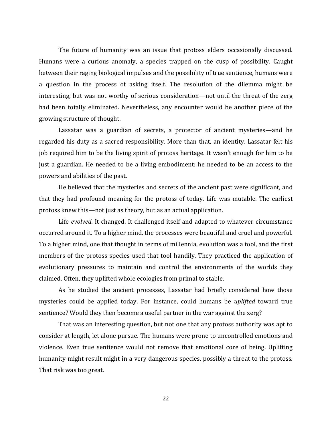The future of humanity was an issue that protoss elders occasionally discussed. Humans were a curious anomaly, a species trapped on the cusp of possibility. Caught between their raging biological impulses and the possibility of true sentience, humans were a question in the process of asking itself. The resolution of the dilemma might be interesting, but was not worthy of serious consideration—not until the threat of the zerg had been totally eliminated. Nevertheless, any encounter would be another piece of the growing structure of thought.

Lassatar was a guardian of secrets, a protector of ancient mysteries—and he regarded his duty as a sacred responsibility. More than that, an identity. Lassatar felt his job required him to be the living spirit of protoss heritage. It wasn't enough for him to be just a guardian. He needed to be a living embodiment: he needed to be an access to the powers and abilities of the past.

He believed that the mysteries and secrets of the ancient past were significant, and that they had profound meaning for the protoss of today. Life was mutable. The earliest protoss knew this—not just as theory, but as an actual application.

Life *evolved*. It changed. It challenged itself and adapted to whatever circumstance occurred around it. To a higher mind, the processes were beautiful and cruel and powerful. To a higher mind, one that thought in terms of millennia, evolution was a tool, and the first members of the protoss species used that tool handily. They practiced the application of evolutionary pressures to maintain and control the environments of the worlds they claimed. Often, they uplifted whole ecologies from primal to stable.

As he studied the ancient processes, Lassatar had briefly considered how those mysteries could be applied today. For instance, could humans be *uplifted* toward true sentience? Would they then become a useful partner in the war against the zerg?

That was an interesting question, but not one that any protoss authority was apt to consider at length, let alone pursue. The humans were prone to uncontrolled emotions and violence. Even true sentience would not remove that emotional core of being. Uplifting humanity might result might in a very dangerous species, possibly a threat to the protoss. That risk was too great.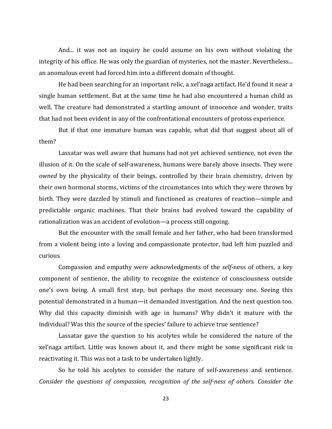And... it was not an inquiry he could assume on his own without violating the integrity of his office. He was only the guardian of mysteries, not the master. Nevertheless... an anomalous event had forced him into a different domain of thought.

He had been searching for an important relic, a xel'naga artifact. He'd found it near a single human settlement. But at the same time he had also encountered a human child as well. The creature had demonstrated a startling amount of innocence and wonder, traits that had not been evident in any of the confrontational encounters of protoss experience.

But if that one immature human was capable, what did that suggest about all of them?

Lassatar was well aware that humans had not yet achieved sentience, not even the illusion of it. On the scale of self-awareness, humans were barely above insects. They were *owned* by the physicality of their beings, controlled by their brain chemistry, driven by their own hormonal storms, victims of the circumstances into which they were thrown by birth. They were dazzled by stimuli and functioned as creatures of reaction—simple and predictable organic machines. That their brains had evolved toward the capability of rationalization was an accident of evolution—a process still ongoing.

But the encounter with the small female and her father, who had been transformed from a violent being into a loving and compassionate protector, had left him puzzled and curious.

Compassion and empathy were acknowledgments of the *self-*ness of others, a key component of sentience, the ability to recognize the existence of consciousness outside one's own being. A small first step, but perhaps the most necessary one. Seeing this potential demonstrated in a human—it demanded investigation. And the next question too. Why did this capacity diminish with age in humans? Why didn't it mature with the individual? Was this the source of the species' failure to achieve true sentience?

Lassatar gave the question to his acolytes while he considered the nature of the xel'naga artifact. Little was known about it, and there might be some significant risk in reactivating it. This was not a task to be undertaken lightly.

So he told his acolytes to consider the nature of self-awareness and sentience. *Consider the questions of compassion, recognition of the self-ness of others. Consider the*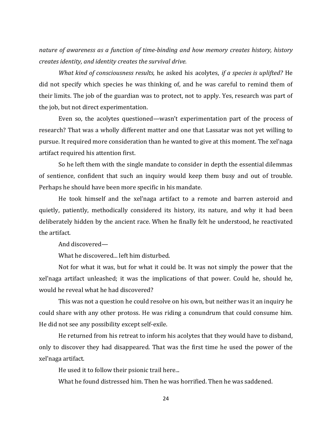*nature of awareness as a function of time-binding and how memory creates history, history creates identity, and identity creates the survival drive.*

*What kind of consciousness results,* he asked his acolytes, *if a species is uplifted?* He did not specify which species he was thinking of, and he was careful to remind them of their limits. The job of the guardian was to protect, not to apply. Yes, research was part of the job, but not direct experimentation.

Even so, the acolytes questioned—wasn't experimentation part of the process of research? That was a wholly different matter and one that Lassatar was not yet willing to pursue. It required more consideration than he wanted to give at this moment. The xel'naga artifact required his attention first.

So he left them with the single mandate to consider in depth the essential dilemmas of sentience, confident that such an inquiry would keep them busy and out of trouble. Perhaps he should have been more specific in his mandate.

He took himself and the xel'naga artifact to a remote and barren asteroid and quietly, patiently, methodically considered its history, its nature, and why it had been deliberately hidden by the ancient race. When he finally felt he understood, he reactivated the artifact.

And discovered—

What he discovered... left him disturbed.

Not for what it was, but for what it could be. It was not simply the power that the xel'naga artifact unleashed; it was the implications of that power. Could he, should he, would he reveal what he had discovered?

This was not a question he could resolve on his own, but neither was it an inquiry he could share with any other protoss. He was riding a conundrum that could consume him. He did not see any possibility except self-exile.

He returned from his retreat to inform his acolytes that they would have to disband, only to discover they had disappeared. That was the first time he used the power of the xel'naga artifact.

He used it to follow their psionic trail here...

What he found distressed him. Then he was horrified. Then he was saddened.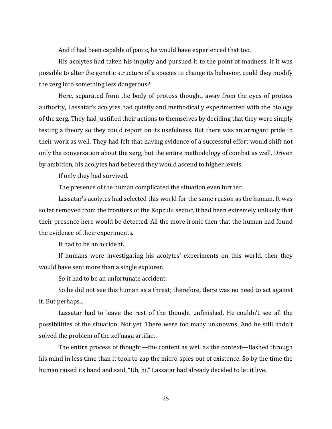And if had been capable of panic, he would have experienced that too.

His acolytes had taken his inquiry and pursued it to the point of madness. If it was possible to alter the genetic structure of a species to change its behavior, could they modify the zerg into something less dangerous?

Here, separated from the body of protoss thought, away from the eyes of protoss authority, Lassatar's acolytes had quietly and methodically experimented with the biology of the zerg. They had justified their actions to themselves by deciding that they were simply testing a theory so they could report on its usefulness. But there was an arrogant pride in their work as well. They had felt that having evidence of a successful effort would shift not only the conversation about the zerg, but the entire methodology of combat as well. Driven by ambition, his acolytes had believed they would ascend to higher levels.

If only they had survived.

The presence of the human complicated the situation even further.

Lassatar's acolytes had selected this world for the same reason as the human. It was so far removed from the frontiers of the Koprulu sector, it had been extremely unlikely that their presence here would be detected. All the more ironic then that the human had found the evidence of their experiments.

It had to be an accident.

If humans were investigating his acolytes' experiments on this world, then they would have sent more than a single explorer.

So it had to be an unfortunate accident.

So he did not see this human as a threat; therefore, there was no need to act against it. But perhaps...

Lassatar had to leave the rest of the thought unfinished. He couldn't see all the possibilities of the situation. Not yet. There were too many unknowns. And he still hadn't solved the problem of the xel'naga artifact.

The entire process of thought—the content as well as the context—flashed through his mind in less time than it took to zap the micro-spies out of existence. So by the time the human raised its hand and said, "Uh, hi," Lassatar had already decided to let it live.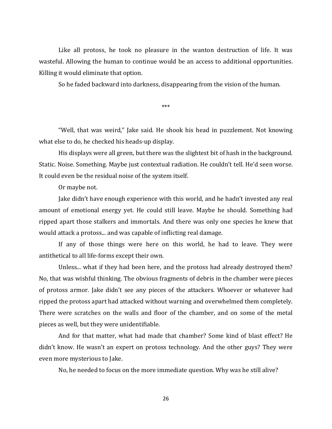Like all protoss, he took no pleasure in the wanton destruction of life. It was wasteful. Allowing the human to continue would be an access to additional opportunities. Killing it would eliminate that option.

So he faded backward into darkness, disappearing from the vision of the human.

\*\*\*

"Well, that was weird," Jake said. He shook his head in puzzlement. Not knowing what else to do, he checked his heads-up display.

His displays were all green, but there was the slightest bit of hash in the background. Static. Noise. Something. Maybe just contextual radiation. He couldn't tell. He'd seen worse. It could even be the residual noise of the system itself.

Or maybe not.

Jake didn't have enough experience with this world, and he hadn't invested any real amount of emotional energy yet. He could still leave. Maybe he should. Something had ripped apart those stalkers and immortals. And there was only one species he knew that would attack a protoss... and was capable of inflicting real damage.

If any of those things were here on this world, he had to leave. They were antithetical to all life-forms except their own.

Unless... what if they had been here, and the protoss had already destroyed them? No, that was wishful thinking. The obvious fragments of debris in the chamber were pieces of protoss armor. Jake didn't see any pieces of the attackers. Whoever or whatever had ripped the protoss apart had attacked without warning and overwhelmed them completely. There were scratches on the walls and floor of the chamber, and on some of the metal pieces as well, but they were unidentifiable.

And for that matter, what had made that chamber? Some kind of blast effect? He didn't know. He wasn't an expert on protoss technology. And the other guys? They were even more mysterious to Jake.

No, he needed to focus on the more immediate question. Why was he still alive?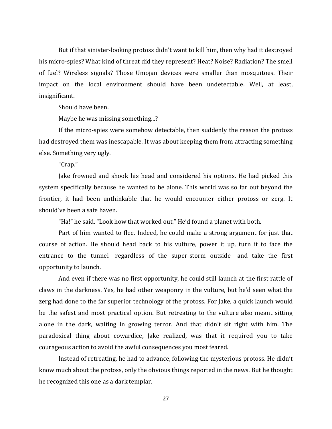But if that sinister-looking protoss didn't want to kill him, then why had it destroyed his micro-spies? What kind of threat did they represent? Heat? Noise? Radiation? The smell of fuel? Wireless signals? Those Umojan devices were smaller than mosquitoes. Their impact on the local environment should have been undetectable. Well, at least, insignificant.

Should have been.

Maybe he was missing something...?

If the micro-spies were somehow detectable, then suddenly the reason the protoss had destroyed them was inescapable. It was about keeping them from attracting something else. Something very ugly.

"Crap."

Jake frowned and shook his head and considered his options. He had picked this system specifically because he wanted to be alone. This world was so far out beyond the frontier, it had been unthinkable that he would encounter either protoss or zerg. It should've been a safe haven.

"Ha!" he said. "Look how that worked out." He'd found a planet with both.

Part of him wanted to flee. Indeed, he could make a strong argument for just that course of action. He should head back to his vulture, power it up, turn it to face the entrance to the tunnel—regardless of the super-storm outside—and take the first opportunity to launch.

And even if there was no first opportunity, he could still launch at the first rattle of claws in the darkness. Yes, he had other weaponry in the vulture, but he'd seen what the zerg had done to the far superior technology of the protoss. For Jake, a quick launch would be the safest and most practical option. But retreating to the vulture also meant sitting alone in the dark, waiting in growing terror. And that didn't sit right with him. The paradoxical thing about cowardice, Jake realized, was that it required you to take courageous action to avoid the awful consequences you most feared.

Instead of retreating, he had to advance, following the mysterious protoss. He didn't know much about the protoss, only the obvious things reported in the news. But he thought he recognized this one as a dark templar.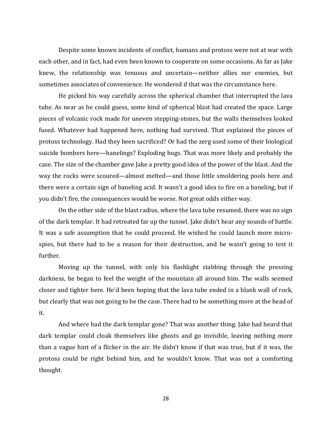Despite some known incidents of conflict, humans and protoss were not at war with each other, and in fact, had even been known to cooperate on some occasions. As far as Jake knew, the relationship was tenuous and uncertain—neither allies nor enemies, but sometimes associates of convenience. He wondered if that was the circumstance here.

He picked his way carefully across the spherical chamber that interrupted the lava tube. As near as he could guess, some kind of spherical blast had created the space. Large pieces of volcanic rock made for uneven stepping-stones, but the walls themselves looked fused. Whatever had happened here, nothing had survived. That explained the pieces of protoss technology. Had they been sacrificed? Or had the zerg used some of their biological suicide bombers here—banelings? Exploding bugs. That was more likely and probably the case. The size of the chamber gave Jake a pretty good idea of the power of the blast. And the way the rocks were scoured—almost melted—and those little smoldering pools here and there were a certain sign of baneling acid. It wasn't a good idea to fire on a baneling, but if you didn't fire, the consequences would be worse. Not great odds either way.

On the other side of the blast radius, where the lava tube resumed, there was no sign of the dark templar. It had retreated far up the tunnel. Jake didn't hear any sounds of battle. It was a safe assumption that he could proceed. He wished he could launch more microspies, but there had to be a reason for their destruction, and he wasn't going to test it further.

Moving up the tunnel, with only his flashlight stabbing through the pressing darkness, he began to feel the weight of the mountain all around him. The walls seemed closer and tighter here. He'd been hoping that the lava tube ended in a blank wall of rock, but clearly that was not going to be the case. There had to be something more at the head of it.

And where had the dark templar gone? That was another thing. Jake had heard that dark templar could cloak themselves like ghosts and go invisible, leaving nothing more than a vague hint of a flicker in the air. He didn't know if that was true, but if it was, the protoss could be right behind him, and he wouldn't know. That was not a comforting thought.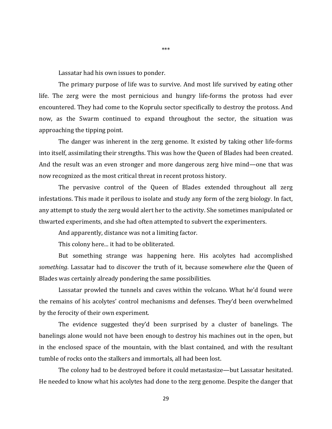Lassatar had his own issues to ponder.

The primary purpose of life was to survive. And most life survived by eating other life. The zerg were the most pernicious and hungry life-forms the protoss had ever encountered. They had come to the Koprulu sector specifically to destroy the protoss. And now, as the Swarm continued to expand throughout the sector, the situation was approaching the tipping point.

The danger was inherent in the zerg genome. It existed by taking other life-forms into itself, assimilating their strengths. This was how the Queen of Blades had been created. And the result was an even stronger and more dangerous zerg hive mind—one that was now recognized as the most critical threat in recent protoss history.

The pervasive control of the Queen of Blades extended throughout all zerg infestations. This made it perilous to isolate and study any form of the zerg biology. In fact, any attempt to study the zerg would alert her to the activity. She sometimes manipulated or thwarted experiments, and she had often attempted to subvert the experimenters.

And apparently, distance was not a limiting factor.

This colony here... it had to be obliterated.

But something strange was happening here. His acolytes had accomplished *something*. Lassatar had to discover the truth of it, because somewhere *else* the Queen of Blades was certainly already pondering the same possibilities.

Lassatar prowled the tunnels and caves within the volcano. What he'd found were the remains of his acolytes' control mechanisms and defenses. They'd been overwhelmed by the ferocity of their own experiment.

The evidence suggested they'd been surprised by a cluster of banelings. The banelings alone would not have been enough to destroy his machines out in the open, but in the enclosed space of the mountain, with the blast contained, and with the resultant tumble of rocks onto the stalkers and immortals, all had been lost.

The colony had to be destroyed before it could metastasize—but Lassatar hesitated. He needed to know what his acolytes had done to the zerg genome. Despite the danger that

\*\*\*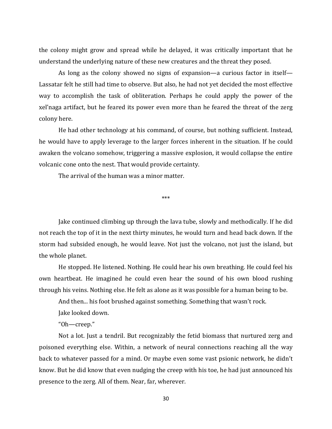the colony might grow and spread while he delayed, it was critically important that he understand the underlying nature of these new creatures and the threat they posed.

As long as the colony showed no signs of expansion—a curious factor in itself— Lassatar felt he still had time to observe. But also, he had not yet decided the most effective way to accomplish the task of obliteration. Perhaps he could apply the power of the xel'naga artifact, but he feared its power even more than he feared the threat of the zerg colony here.

He had other technology at his command, of course, but nothing sufficient. Instead, he would have to apply leverage to the larger forces inherent in the situation. If he could awaken the volcano somehow, triggering a massive explosion, it would collapse the entire volcanic cone onto the nest. That would provide certainty.

The arrival of the human was a minor matter.

\*\*\*

Jake continued climbing up through the lava tube, slowly and methodically. If he did not reach the top of it in the next thirty minutes, he would turn and head back down. If the storm had subsided enough, he would leave. Not just the volcano, not just the island, but the whole planet.

He stopped. He listened. Nothing. He could hear his own breathing. He could feel his own heartbeat. He imagined he could even hear the sound of his own blood rushing through his veins. Nothing else. He felt as alone as it was possible for a human being to be.

And then... his foot brushed against something. Something that wasn't rock.

Jake looked down.

"Oh—creep."

Not a lot. Just a tendril. But recognizably the fetid biomass that nurtured zerg and poisoned everything else. Within, a network of neural connections reaching all the way back to whatever passed for a mind. Or maybe even some vast psionic network, he didn't know. But he did know that even nudging the creep with his toe, he had just announced his presence to the zerg. All of them. Near, far, wherever.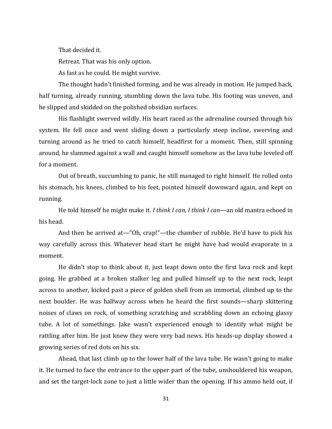That decided it.

Retreat. That was his only option.

As fast as he could. He might survive.

The thought hadn't finished forming, and he was already in motion. He jumped back, half turning, already running, stumbling down the lava tube. His footing was uneven, and he slipped and skidded on the polished obsidian surfaces.

His flashlight swerved wildly. His heart raced as the adrenaline coursed through his system. He fell once and went sliding down a particularly steep incline, swerving and turning around as he tried to catch himself, headfirst for a moment. Then, still spinning around, he slammed against a wall and caught himself somehow as the lava tube leveled off for a moment.

Out of breath, succumbing to panic, he still managed to right himself. He rolled onto his stomach, his knees, climbed to his feet, pointed himself downward again, and kept on running.

He told himself he might make it. *I think I can, I think I can—*an old mantra echoed in his head.

And then he arrived at—"Oh, crap!"—the chamber of rubble. He'd have to pick his way carefully across this. Whatever head start he might have had would evaporate in a moment.

He didn't stop to think about it, just leapt down onto the first lava rock and kept going. He grabbed at a broken stalker leg and pulled himself up to the next rock, leapt across to another, kicked past a piece of golden shell from an immortal, climbed up to the next boulder. He was halfway across when he heard the first sounds—sharp skittering noises of claws on rock, of something scratching and scrabbling down an echoing glassy tube. A lot of somethings. Jake wasn't experienced enough to identify what might be rattling after him. He just knew they were very bad news. His heads-up display showed a growing series of red dots on his six.

Ahead, that last climb up to the lower half of the lava tube. He wasn't going to make it. He turned to face the entrance to the upper part of the tube, unshouldered his weapon, and set the target-lock zone to just a little wider than the opening. If his ammo held out, if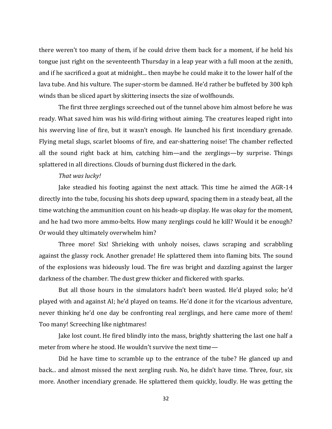there weren't too many of them, if he could drive them back for a moment, if he held his tongue just right on the seventeenth Thursday in a leap year with a full moon at the zenith, and if he sacrificed a goat at midnight... then maybe he could make it to the lower half of the lava tube. And his vulture. The super-storm be damned. He'd rather be buffeted by 300 kph winds than be sliced apart by skittering insects the size of wolfhounds.

The first three zerglings screeched out of the tunnel above him almost before he was ready. What saved him was his wild-firing without aiming. The creatures leaped right into his swerving line of fire, but it wasn't enough. He launched his first incendiary grenade. Flying metal slugs, scarlet blooms of fire, and ear-shattering noise! The chamber reflected all the sound right back at him, catching him—and the zerglings—by surprise. Things splattered in all directions. Clouds of burning dust flickered in the dark.

## *That was lucky!*

Jake steadied his footing against the next attack. This time he aimed the AGR-14 directly into the tube, focusing his shots deep upward, spacing them in a steady beat, all the time watching the ammunition count on his heads-up display. He was okay for the moment, and he had two more ammo-belts. How many zerglings could he kill? Would it be enough? Or would they ultimately overwhelm him?

Three more! Six! Shrieking with unholy noises, claws scraping and scrabbling against the glassy rock. Another grenade! He splattered them into flaming bits. The sound of the explosions was hideously loud. The fire was bright and dazzling against the larger darkness of the chamber. The dust grew thicker and flickered with sparks.

But all those hours in the simulators hadn't been wasted. He'd played solo; he'd played with and against AI; he'd played on teams. He'd done it for the vicarious adventure, never thinking he'd one day be confronting real zerglings, and here came more of them! Too many! Screeching like nightmares!

Jake lost count. He fired blindly into the mass, brightly shattering the last one half a meter from where he stood. He wouldn't survive the next time—

Did he have time to scramble up to the entrance of the tube? He glanced up and back... and almost missed the next zergling rush. No, he didn't have time. Three, four, six more. Another incendiary grenade. He splattered them quickly, loudly. He was getting the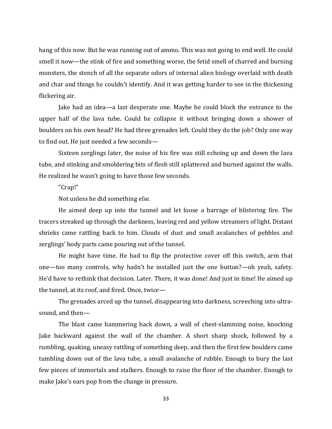hang of this now. But he was running out of ammo. This was not going to end well. He could smell it now—the stink of fire and something worse, the fetid smell of charred and burning monsters, the stench of all the separate odors of internal alien biology overlaid with death and char and things he couldn't identify. And it was getting harder to see in the thickening flickering air.

Jake had an idea—a last desperate one. Maybe he could block the entrance to the upper half of the lava tube. Could he collapse it without bringing down a shower of boulders on his own head? He had three grenades left. Could they do the job? Only one way to find out. He just needed a few seconds—

Sixteen zerglings later, the noise of his fire was still echoing up and down the lava tube, and stinking and smoldering bits of flesh still splattered and burned against the walls. He realized he wasn't going to have those few seconds.

"Crap!"

Not unless he did something *else*.

He aimed deep up into the tunnel and let loose a barrage of blistering fire. The tracers streaked up through the darkness, leaving red and yellow streamers of light. Distant shrieks came rattling back to him. Clouds of dust and small avalanches of pebbles and zerglings' body parts came pouring out of the tunnel.

He might have time. He had to flip the protective cover off this switch, arm that one—too many controls, why hadn't he installed just the one button?—oh yeah, safety. He'd have to rethink that decision. Later. There, it was done! And just in time! He aimed up the tunnel, at its roof, and fired. Once, twice—

The grenades arced up the tunnel, disappearing into darkness, screeching into ultrasound, and then—

The blast came hammering back down, a wall of chest-slamming noise, knocking Jake backward against the wall of the chamber. A short sharp shock, followed by a rumbling, quaking, uneasy rattling of something deep, and then the first few boulders came tumbling down out of the lava tube, a small avalanche of rubble. Enough to bury the last few pieces of immortals and stalkers. Enough to raise the floor of the chamber. Enough to make Jake's ears pop from the change in pressure.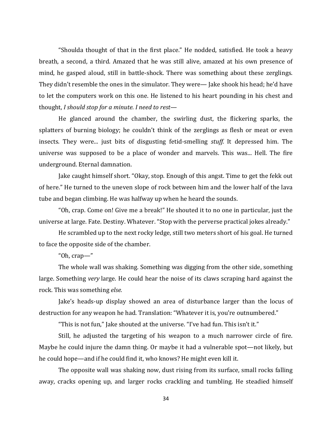"Shoulda thought of that in the first place." He nodded, satisfied. He took a heavy breath, a second, a third. Amazed that he was still alive, amazed at his own presence of mind, he gasped aloud, still in battle-shock. There was something about these zerglings. They didn't resemble the ones in the simulator. They were— Jake shook his head; he'd have to let the computers work on this one. He listened to his heart pounding in his chest and thought, *I should stop for a minute. I need to rest—*

He glanced around the chamber, the swirling dust, the flickering sparks, the splatters of burning biology; he couldn't think of the zerglings as flesh or meat or even insects. They were... just bits of disgusting fetid-smelling *stuff.* It depressed him. The universe was supposed to be a place of wonder and marvels. This was... Hell. The fire underground. Eternal damnation.

Jake caught himself short. "Okay, stop. Enough of this angst. Time to get the fekk out of here." He turned to the uneven slope of rock between him and the lower half of the lava tube and began climbing. He was halfway up when he heard the sounds.

"Oh, crap. Come on! Give me a break!" He shouted it to no one in particular, just the universe at large. Fate. Destiny. Whatever. "Stop with the perverse practical jokes already."

He scrambled up to the next rocky ledge, still two meters short of his goal. He turned to face the opposite side of the chamber.

"Oh, crap—"

The whole wall was shaking. Something was digging from the other side, something large. Something *very* large. He could hear the noise of its claws scraping hard against the rock. This was something *else.*

Jake's heads-up display showed an area of disturbance larger than the locus of destruction for any weapon he had. Translation: "Whatever it is, you're outnumbered."

"This is not fun," Jake shouted at the universe. "I've had fun. This isn't it."

Still, he adjusted the targeting of his weapon to a much narrower circle of fire. Maybe he could injure the damn thing. Or maybe it had a vulnerable spot—not likely, but he could hope—and if he could find it, who knows? He might even kill it.

The opposite wall was shaking now, dust rising from its surface, small rocks falling away, cracks opening up, and larger rocks crackling and tumbling. He steadied himself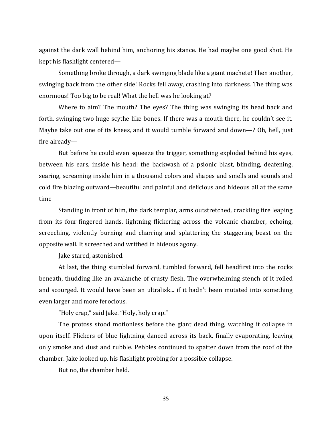against the dark wall behind him, anchoring his stance. He had maybe one good shot. He kept his flashlight centered—

Something broke through, a dark swinging blade like a giant machete! Then another, swinging back from the other side! Rocks fell away, crashing into darkness. The thing was enormous! Too big to be real! What the hell was he looking at?

Where to aim? The mouth? The eyes? The thing was swinging its head back and forth, swinging two huge scythe-like bones. If there was a mouth there, he couldn't see it. Maybe take out one of its knees, and it would tumble forward and down—? Oh, hell, just fire already—

But before he could even squeeze the trigger, something exploded behind his eyes, between his ears, inside his head: the backwash of a psionic blast, blinding, deafening, searing, screaming inside him in a thousand colors and shapes and smells and sounds and cold fire blazing outward—beautiful and painful and delicious and hideous all at the same time—

Standing in front of him, the dark templar, arms outstretched, crackling fire leaping from its four-fingered hands, lightning flickering across the volcanic chamber, echoing, screeching, violently burning and charring and splattering the staggering beast on the opposite wall. It screeched and writhed in hideous agony.

Jake stared, astonished.

At last, the thing stumbled forward, tumbled forward, fell headfirst into the rocks beneath, thudding like an avalanche of crusty flesh. The overwhelming stench of it roiled and scourged. It would have been an ultralisk... if it hadn't been mutated into something even larger and more ferocious.

"Holy crap," said Jake. "Holy, holy crap."

The protoss stood motionless before the giant dead thing, watching it collapse in upon itself. Flickers of blue lightning danced across its back, finally evaporating, leaving only smoke and dust and rubble. Pebbles continued to spatter down from the roof of the chamber. Jake looked up, his flashlight probing for a possible collapse.

But no, the chamber held.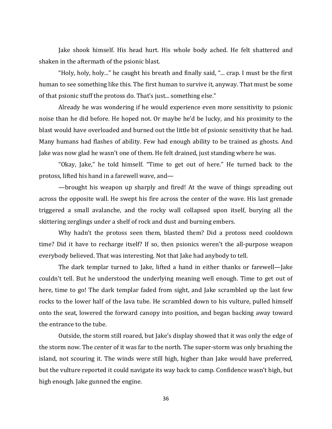Jake shook himself. His head hurt. His whole body ached. He felt shattered and shaken in the aftermath of the psionic blast.

"Holy, holy, holy..." he caught his breath and finally said, "... crap. I must be the first human to see something like this. The first human to survive it, anyway. That must be some of that psionic stuff the protoss do. That's just... something else."

Already he was wondering if he would experience even more sensitivity to psionic noise than he did before. He hoped not. Or maybe he'd be lucky, and his proximity to the blast would have overloaded and burned out the little bit of psionic sensitivity that he had. Many humans had flashes of ability. Few had enough ability to be trained as ghosts. And Jake was now glad he wasn't one of them. He felt drained, just standing where he was.

"Okay, Jake," he told himself. "Time to get out of here." He turned back to the protoss, lifted his hand in a farewell wave, and—

—brought his weapon up sharply and fired! At the wave of things spreading out across the opposite wall. He swept his fire across the center of the wave. His last grenade triggered a small avalanche, and the rocky wall collapsed upon itself, burying all the skittering zerglings under a shelf of rock and dust and burning embers.

Why hadn't the protoss seen them, blasted them? Did a protoss need cooldown time? Did it have to recharge itself? If so, then psionics weren't the all-purpose weapon everybody believed. That was interesting. Not that Jake had anybody to tell.

The dark templar turned to Jake, lifted a hand in either thanks or farewell—Jake couldn't tell. But he understood the underlying meaning well enough. Time to get out of here, time to go! The dark templar faded from sight, and Jake scrambled up the last few rocks to the lower half of the lava tube. He scrambled down to his vulture, pulled himself onto the seat, lowered the forward canopy into position, and began backing away toward the entrance to the tube.

Outside, the storm still roared, but Jake's display showed that it was only the edge of the storm now. The center of it was far to the north. The super-storm was only brushing the island, not scouring it. The winds were still high, higher than Jake would have preferred, but the vulture reported it could navigate its way back to camp. Confidence wasn't high, but high enough. Jake gunned the engine.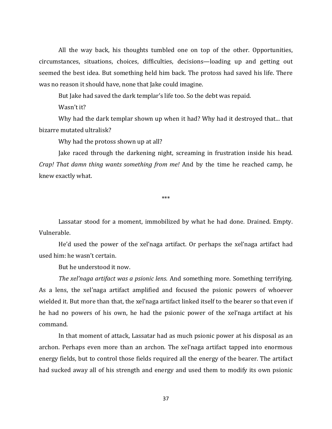All the way back, his thoughts tumbled one on top of the other. Opportunities, circumstances, situations, choices, difficulties, decisions—loading up and getting out seemed the best idea. But something held him back. The protoss had saved his life. There was no reason it should have, none that Jake could imagine.

But Jake had saved the dark templar's life too. So the debt was repaid.

Wasn't it?

Why had the dark templar shown up when it had? Why had it destroyed that... that bizarre mutated ultralisk?

Why had the protoss shown up at all?

Jake raced through the darkening night, screaming in frustration inside his head. *Crap! That damn thing wants something from me!* And by the time he reached camp, he knew exactly what.

\*\*\*

Lassatar stood for a moment, immobilized by what he had done. Drained. Empty. Vulnerable.

He'd used the power of the xel'naga artifact. Or perhaps the xel'naga artifact had used him: he wasn't certain.

But he understood it now.

*The xel'naga artifact was a psionic lens*. And something more. Something terrifying. As a lens, the xel'naga artifact amplified and focused the psionic powers of whoever wielded it. But more than that, the xel'naga artifact linked itself to the bearer so that even if he had no powers of his own, he had the psionic power of the xel'naga artifact at his command.

In that moment of attack, Lassatar had as much psionic power at his disposal as an archon. Perhaps even more than an archon. The xel'naga artifact tapped into enormous energy fields, but to control those fields required all the energy of the bearer. The artifact had sucked away all of his strength and energy and used them to modify its own psionic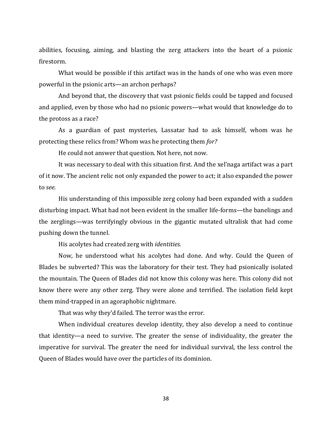abilities, focusing, aiming, and blasting the zerg attackers into the heart of a psionic firestorm.

What would be possible if this artifact was in the hands of one who was even more powerful in the psionic arts—an archon perhaps?

And beyond that, the discovery that vast psionic fields could be tapped and focused and applied, even by those who had no psionic powers—what would that knowledge do to the protoss as a race?

As a guardian of past mysteries, Lassatar had to ask himself, whom was he protecting these relics from? Whom was he protecting them *for?*

He could not answer that question. Not here, not now.

It was necessary to deal with this situation first. And the xel'naga artifact was a part of it now. The ancient relic not only expanded the power to act; it also expanded the power to *see.*

His understanding of this impossible zerg colony had been expanded with a sudden disturbing impact. What had not been evident in the smaller life-forms—the banelings and the zerglings—was terrifyingly obvious in the gigantic mutated ultralisk that had come pushing down the tunnel.

His acolytes had created zerg with *identities.*

Now, he understood what his acolytes had done. And why. Could the Queen of Blades be subverted? This was the laboratory for their test. They had psionically isolated the mountain. The Queen of Blades did not know this colony was here. This colony did not know there were any other zerg. They were alone and terrified. The isolation field kept them mind-trapped in an agoraphobic nightmare.

That was why they'd failed. The terror was the error.

When individual creatures develop identity, they also develop a need to continue that identity—a need to survive. The greater the sense of individuality, the greater the imperative for survival. The greater the need for individual survival, the less control the Queen of Blades would have over the particles of its dominion.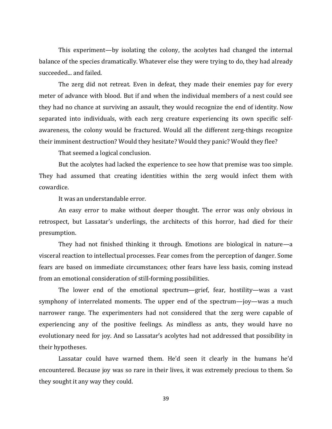This experiment—by isolating the colony, the acolytes had changed the internal balance of the species dramatically. Whatever else they were trying to do, they had already succeeded... and failed.

The zerg did not retreat. Even in defeat, they made their enemies pay for every meter of advance with blood. But if and when the individual members of a nest could see they had no chance at surviving an assault, they would recognize the end of identity. Now separated into individuals, with each zerg creature experiencing its own specific selfawareness, the colony would be fractured. Would all the different zerg-things recognize their imminent destruction? Would they hesitate? Would they panic? Would they flee?

That seemed a logical conclusion.

But the acolytes had lacked the experience to see how that premise was too simple. They had assumed that creating identities within the zerg would infect them with cowardice.

It was an understandable error.

An easy error to make without deeper thought. The error was only obvious in retrospect, but Lassatar's underlings, the architects of this horror, had died for their presumption.

They had not finished thinking it through. Emotions are biological in nature—a visceral reaction to intellectual processes. Fear comes from the perception of danger. Some fears are based on immediate circumstances; other fears have less basis, coming instead from an emotional consideration of still-forming possibilities.

The lower end of the emotional spectrum—grief, fear, hostility—was a vast symphony of interrelated moments. The upper end of the spectrum—joy—was a much narrower range. The experimenters had not considered that the zerg were capable of experiencing any of the positive feelings. As mindless as ants, they would have no evolutionary need for joy. And so Lassatar's acolytes had not addressed that possibility in their hypotheses.

Lassatar could have warned them. He'd seen it clearly in the humans he'd encountered. Because joy was so rare in their lives, it was extremely precious to them. So they sought it any way they could.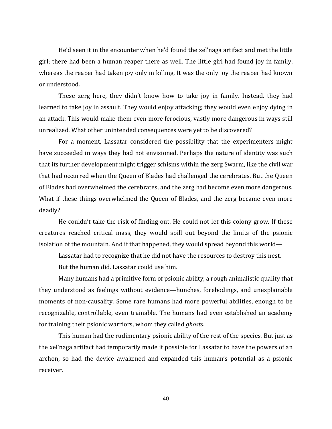He'd seen it in the encounter when he'd found the xel'naga artifact and met the little girl; there had been a human reaper there as well. The little girl had found joy in family, whereas the reaper had taken joy only in killing. It was the only joy the reaper had known or understood.

These zerg here, they didn't know how to take joy in family. Instead, they had learned to take joy in assault. They would enjoy attacking; they would even enjoy dying in an attack. This would make them even more ferocious, vastly more dangerous in ways still unrealized. What other unintended consequences were yet to be discovered?

For a moment, Lassatar considered the possibility that the experimenters might have succeeded in ways they had not envisioned. Perhaps the nature of identity was such that its further development might trigger schisms within the zerg Swarm, like the civil war that had occurred when the Queen of Blades had challenged the cerebrates. But the Queen of Blades had overwhelmed the cerebrates, and the zerg had become even more dangerous. What if these things overwhelmed the Queen of Blades, and the zerg became even more deadly?

He couldn't take the risk of finding out. He could not let this colony grow. If these creatures reached critical mass, they would spill out beyond the limits of the psionic isolation of the mountain. And if that happened, they would spread beyond this world—

Lassatar had to recognize that he did not have the resources to destroy this nest.

But the human did. Lassatar could use him.

Many humans had a primitive form of psionic ability, a rough animalistic quality that they understood as feelings without evidence—hunches, forebodings, and unexplainable moments of non-causality. Some rare humans had more powerful abilities, enough to be recognizable, controllable, even trainable. The humans had even established an academy for training their psionic warriors, whom they called *ghosts*.

This human had the rudimentary psionic ability of the rest of the species. But just as the xel'naga artifact had temporarily made it possible for Lassatar to have the powers of an archon, so had the device awakened and expanded this human's potential as a psionic receiver.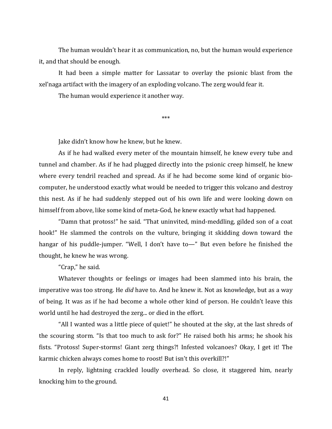The human wouldn't hear it as communication, no, but the human would experience it, and that should be enough.

It had been a simple matter for Lassatar to overlay the psionic blast from the xel'naga artifact with the imagery of an exploding volcano. The zerg would fear it.

The human would experience it another way.

\*\*\*

Jake didn't know how he knew, but he knew.

As if he had walked every meter of the mountain himself, he knew every tube and tunnel and chamber. As if he had plugged directly into the psionic creep himself, he knew where every tendril reached and spread. As if he had become some kind of organic biocomputer, he understood exactly what would be needed to trigger this volcano and destroy this nest. As if he had suddenly stepped out of his own life and were looking down on himself from above, like some kind of meta-God, he knew exactly what had happened.

"Damn that protoss!" he said. "That uninvited, mind-meddling, gilded son of a coat hook!" He slammed the controls on the vulture, bringing it skidding down toward the hangar of his puddle-jumper. "Well, I don't have to—" But even before he finished the thought, he knew he was wrong.

"Crap," he said.

Whatever thoughts or feelings or images had been slammed into his brain, the imperative was too strong. He *did* have to. And he knew it. Not as knowledge, but as a way of being. It was as if he had become a whole other kind of person. He couldn't leave this world until he had destroyed the zerg... or died in the effort.

"All I wanted was a little piece of quiet!" he shouted at the sky, at the last shreds of the scouring storm. "Is that too much to ask for?" He raised both his arms; he shook his fists. "Protoss! Super-storms! Giant zerg things?! Infested volcanoes? Okay, I get it! The karmic chicken always comes home to roost! But isn't this overkill?!"

In reply, lightning crackled loudly overhead. So close, it staggered him, nearly knocking him to the ground.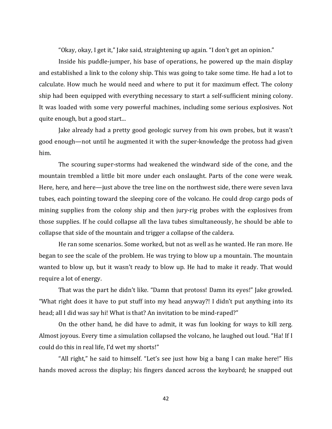"Okay, okay, I get it," Jake said, straightening up again. "I don't get an opinion."

Inside his puddle-jumper, his base of operations, he powered up the main display and established a link to the colony ship. This was going to take some time. He had a lot to calculate. How much he would need and where to put it for maximum effect. The colony ship had been equipped with everything necessary to start a self-sufficient mining colony. It was loaded with some very powerful machines, including some serious explosives. Not quite enough, but a good start...

Jake already had a pretty good geologic survey from his own probes, but it wasn't good enough—not until he augmented it with the super-knowledge the protoss had given him.

The scouring super-storms had weakened the windward side of the cone, and the mountain trembled a little bit more under each onslaught. Parts of the cone were weak. Here, here, and here—just above the tree line on the northwest side, there were seven lava tubes, each pointing toward the sleeping core of the volcano. He could drop cargo pods of mining supplies from the colony ship and then jury-rig probes with the explosives from those supplies. If he could collapse all the lava tubes simultaneously, he should be able to collapse that side of the mountain and trigger a collapse of the caldera.

He ran some scenarios. Some worked, but not as well as he wanted. He ran more. He began to see the scale of the problem. He was trying to blow up a mountain. The mountain wanted to blow up, but it wasn't ready to blow up. He had to make it ready. That would require a lot of energy.

That was the part he didn't like. "Damn that protoss! Damn its eyes!" Jake growled. "What right does it have to put stuff into my head anyway?! I didn't put anything into its head; all I did was say hi! What is that? An invitation to be mind-raped?"

On the other hand, he did have to admit, it was fun looking for ways to kill zerg. Almost joyous. Every time a simulation collapsed the volcano, he laughed out loud. "Ha! If I could do this in real life, I'd wet my shorts!"

"All right," he said to himself. "Let's see just how big a bang I can make here!" His hands moved across the display; his fingers danced across the keyboard; he snapped out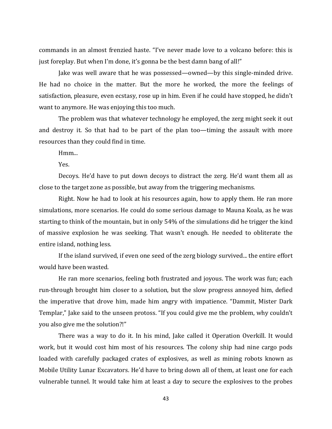commands in an almost frenzied haste. "I've never made love to a volcano before: this is just foreplay. But when I'm done, it's gonna be the best damn bang of all!"

Jake was well aware that he was possessed—owned—by this single-minded drive. He had no choice in the matter. But the more he worked, the more the feelings of satisfaction, pleasure, even ecstasy, rose up in him. Even if he could have stopped, he didn't want to anymore. He was enjoying this too much.

The problem was that whatever technology he employed, the zerg might seek it out and destroy it. So that had to be part of the plan too—timing the assault with more resources than they could find in time.

Hmm...

Yes.

Decoys. He'd have to put down decoys to distract the zerg. He'd want them all as close to the target zone as possible, but away from the triggering mechanisms.

Right. Now he had to look at his resources again, how to apply them. He ran more simulations, more scenarios. He could do some serious damage to Mauna Koala, as he was starting to think of the mountain, but in only 54% of the simulations did he trigger the kind of massive explosion he was seeking. That wasn't enough. He needed to obliterate the entire island, nothing less.

If the island survived, if even one seed of the zerg biology survived... the entire effort would have been wasted.

He ran more scenarios, feeling both frustrated and joyous. The work was fun; each run-through brought him closer to a solution, but the slow progress annoyed him, defied the imperative that drove him, made him angry with impatience. "Dammit, Mister Dark Templar," Jake said to the unseen protoss. "If you could give me the problem, why couldn't you also give me the solution?!"

There was a way to do it. In his mind, Jake called it Operation Overkill. It would work, but it would cost him most of his resources. The colony ship had nine cargo pods loaded with carefully packaged crates of explosives, as well as mining robots known as Mobile Utility Lunar Excavators. He'd have to bring down all of them, at least one for each vulnerable tunnel. It would take him at least a day to secure the explosives to the probes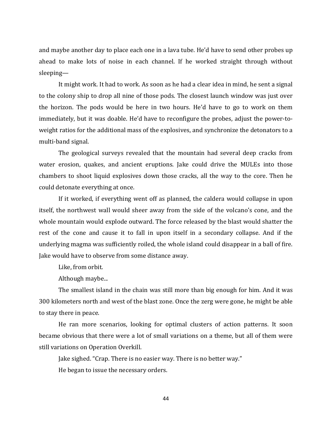and maybe another day to place each one in a lava tube. He'd have to send other probes up ahead to make lots of noise in each channel. If he worked straight through without sleeping—

It might work. It had to work. As soon as he had a clear idea in mind, he sent a signal to the colony ship to drop all nine of those pods. The closest launch window was just over the horizon. The pods would be here in two hours. He'd have to go to work on them immediately, but it was doable. He'd have to reconfigure the probes, adjust the power-toweight ratios for the additional mass of the explosives, and synchronize the detonators to a multi-band signal.

The geological surveys revealed that the mountain had several deep cracks from water erosion, quakes, and ancient eruptions. Jake could drive the MULEs into those chambers to shoot liquid explosives down those cracks, all the way to the core. Then he could detonate everything at once.

If it worked, if everything went off as planned, the caldera would collapse in upon itself, the northwest wall would sheer away from the side of the volcano's cone, and the whole mountain would explode outward. The force released by the blast would shatter the rest of the cone and cause it to fall in upon itself in a secondary collapse. And if the underlying magma was sufficiently roiled, the whole island could disappear in a ball of fire. Jake would have to observe from some distance away.

Like, from orbit.

Although maybe...

The smallest island in the chain was still more than big enough for him. And it was 300 kilometers north and west of the blast zone. Once the zerg were gone, he might be able to stay there in peace.

He ran more scenarios, looking for optimal clusters of action patterns. It soon became obvious that there were a lot of small variations on a theme, but all of them were still variations on Operation Overkill.

Jake sighed. "Crap. There is no easier way. There is no better way." He began to issue the necessary orders.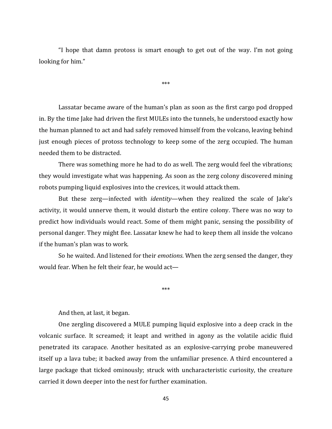"I hope that damn protoss is smart enough to get out of the way. I'm not going looking for him."

\*\*\*

Lassatar became aware of the human's plan as soon as the first cargo pod dropped in. By the time Jake had driven the first MULEs into the tunnels, he understood exactly how the human planned to act and had safely removed himself from the volcano, leaving behind just enough pieces of protoss technology to keep some of the zerg occupied. The human needed them to be distracted.

There was something more he had to do as well. The zerg would feel the vibrations; they would investigate what was happening. As soon as the zerg colony discovered mining robots pumping liquid explosives into the crevices, it would attack them.

But these zerg—infected with *identity*—when they realized the scale of Jake's activity, it would unnerve them, it would disturb the entire colony. There was no way to predict how individuals would react. Some of them might panic, sensing the possibility of personal danger. They might flee. Lassatar knew he had to keep them all inside the volcano if the human's plan was to work.

So he waited. And listened for their *emotions*. When the zerg sensed the danger, they would fear. When he felt their fear, he would act—

\*\*\*

And then, at last, it began.

One zergling discovered a MULE pumping liquid explosive into a deep crack in the volcanic surface. It screamed; it leapt and writhed in agony as the volatile acidic fluid penetrated its carapace. Another hesitated as an explosive-carrying probe maneuvered itself up a lava tube; it backed away from the unfamiliar presence. A third encountered a large package that ticked ominously; struck with uncharacteristic curiosity, the creature carried it down deeper into the nest for further examination.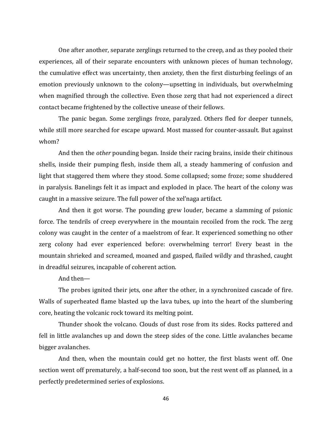One after another, separate zerglings returned to the creep, and as they pooled their experiences, all of their separate encounters with unknown pieces of human technology, the cumulative effect was uncertainty, then anxiety, then the first disturbing feelings of an emotion previously unknown to the colony—upsetting in individuals, but overwhelming when magnified through the collective. Even those zerg that had not experienced a direct contact became frightened by the collective unease of their fellows.

The panic began. Some zerglings froze, paralyzed. Others fled for deeper tunnels, while still more searched for escape upward. Most massed for counter-assault. But against whom?

And then the *other* pounding began. Inside their racing brains, inside their chitinous shells, inside their pumping flesh, inside them all, a steady hammering of confusion and light that staggered them where they stood. Some collapsed; some froze; some shuddered in paralysis. Banelings felt it as impact and exploded in place. The heart of the colony was caught in a massive seizure. The full power of the xel'naga artifact.

And then it got worse. The pounding grew louder, became a slamming of psionic force. The tendrils of creep everywhere in the mountain recoiled from the rock. The zerg colony was caught in the center of a maelstrom of fear. It experienced something no other zerg colony had ever experienced before: overwhelming terror! Every beast in the mountain shrieked and screamed, moaned and gasped, flailed wildly and thrashed, caught in dreadful seizures, incapable of coherent action.

And then—

The probes ignited their jets, one after the other, in a synchronized cascade of fire. Walls of superheated flame blasted up the lava tubes, up into the heart of the slumbering core, heating the volcanic rock toward its melting point.

Thunder shook the volcano. Clouds of dust rose from its sides. Rocks pattered and fell in little avalanches up and down the steep sides of the cone. Little avalanches became bigger avalanches.

And then, when the mountain could get no hotter, the first blasts went off. One section went off prematurely, a half-second too soon, but the rest went off as planned, in a perfectly predetermined series of explosions.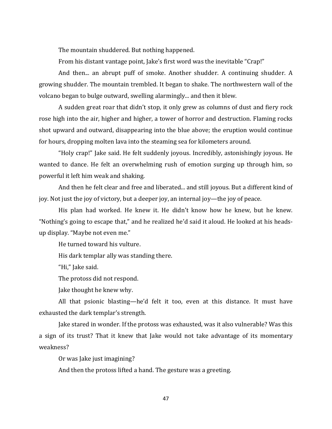The mountain shuddered. But nothing happened.

From his distant vantage point, Jake's first word was the inevitable "Crap!"

And then... an abrupt puff of smoke. Another shudder. A continuing shudder. A growing shudder. The mountain trembled. It began to shake. The northwestern wall of the volcano began to bulge outward, swelling alarmingly... and then it blew.

A sudden great roar that didn't stop, it only grew as columns of dust and fiery rock rose high into the air, higher and higher, a tower of horror and destruction. Flaming rocks shot upward and outward, disappearing into the blue above; the eruption would continue for hours, dropping molten lava into the steaming sea for kilometers around.

"Holy crap!" Jake said. He felt suddenly joyous. Incredibly, astonishingly joyous. He wanted to dance. He felt an overwhelming rush of emotion surging up through him, so powerful it left him weak and shaking.

And then he felt clear and free and liberated... and still joyous. But a different kind of joy. Not just the joy of victory, but a deeper joy, an internal joy—the joy of peace.

His plan had worked. He knew it. He didn't know how he knew, but he knew. "Nothing's going to escape that," and he realized he'd said it aloud. He looked at his headsup display. "Maybe not even me."

He turned toward his vulture.

His dark templar ally was standing there.

"Hi," Jake said.

The protoss did not respond.

Jake thought he knew why.

All that psionic blasting—he'd felt it too, even at this distance. It must have exhausted the dark templar's strength.

Jake stared in wonder. If the protoss was exhausted, was it also vulnerable? Was this a sign of its trust? That it knew that Jake would not take advantage of its momentary weakness?

Or was Jake just imagining?

And then the protoss lifted a hand. The gesture was a greeting.